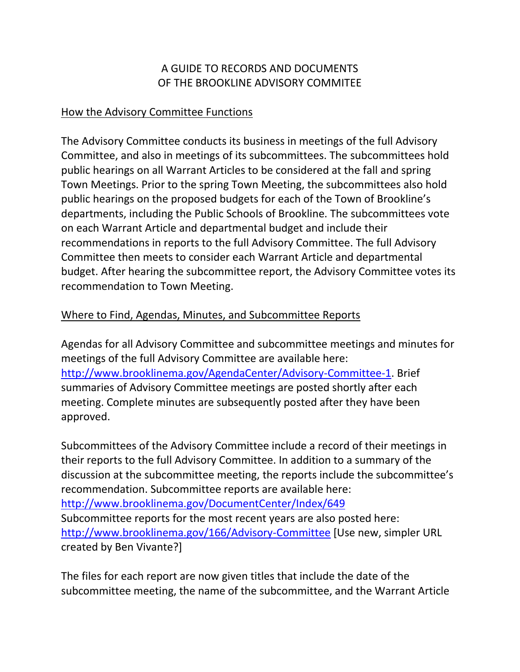## A GUIDE TO RECORDS AND DOCUMENTS OF THE BROOKLINE ADVISORY COMMITEE

## How the Advisory Committee Functions

The Advisory Committee conducts its business in meetings of the full Advisory Committee, and also in meetings of its subcommittees. The subcommittees hold public hearings on all Warrant Articles to be considered at the fall and spring Town Meetings. Prior to the spring Town Meeting, the subcommittees also hold public hearings on the proposed budgets for each of the Town of Brookline's departments, including the Public Schools of Brookline. The subcommittees vote on each Warrant Article and departmental budget and include their recommendations in reports to the full Advisory Committee. The full Advisory Committee then meets to consider each Warrant Article and departmental budget. After hearing the subcommittee report, the Advisory Committee votes its recommendation to Town Meeting.

## Where to Find, Agendas, Minutes, and Subcommittee Reports

Agendas for all Advisory Committee and subcommittee meetings and minutes for meetings of the full Advisory Committee are available here: [http://www.brooklinema.gov/AgendaCenter/Advisory-Committee-1.](http://www.brooklinema.gov/AgendaCenter/Advisory-Committee-1) Brief summaries of Advisory Committee meetings are posted shortly after each meeting. Complete minutes are subsequently posted after they have been approved.

Subcommittees of the Advisory Committee include a record of their meetings in their reports to the full Advisory Committee. In addition to a summary of the discussion at the subcommittee meeting, the reports include the subcommittee's recommendation. Subcommittee reports are available here: <http://www.brooklinema.gov/DocumentCenter/Index/649> Subcommittee reports for the most recent years are also posted here: <http://www.brooklinema.gov/166/Advisory-Committee> [Use new, simpler URL created by Ben Vivante?]

The files for each report are now given titles that include the date of the subcommittee meeting, the name of the subcommittee, and the Warrant Article